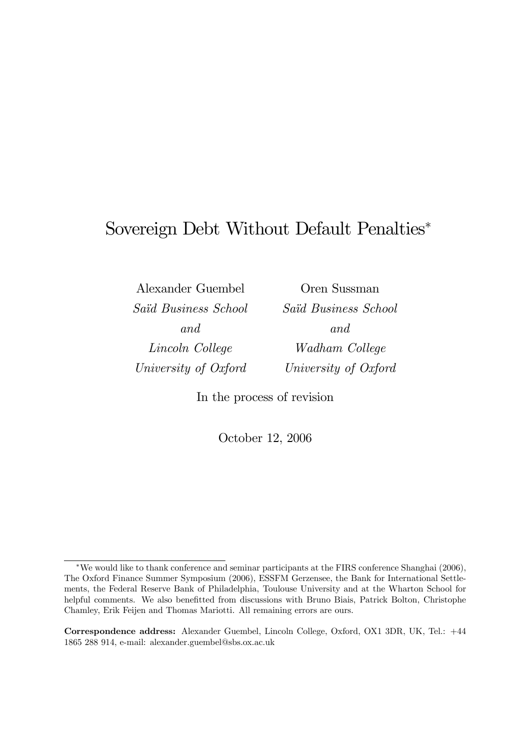# Sovereign Debt Without Default Penalties<sup>∗</sup>

Alexander Guembel Saïd Business School and Lincoln College University of Oxford

Oren Sussman Saïd Business School and Wadham College University of Oxford

In the process of revision

October 12, 2006

Correspondence address: Alexander Guembel, Lincoln College, Oxford, OX1 3DR, UK, Tel.: +44 1865 288 914, e-mail: alexander.guembel@sbs.ox.ac.uk

<sup>∗</sup>We would like to thank conference and seminar participants at the FIRS conference Shanghai (2006), The Oxford Finance Summer Symposium (2006), ESSFM Gerzensee, the Bank for International Settlements, the Federal Reserve Bank of Philadelphia, Toulouse University and at the Wharton School for helpful comments. We also benefitted from discussions with Bruno Biais, Patrick Bolton, Christophe Chamley, Erik Feijen and Thomas Mariotti. All remaining errors are ours.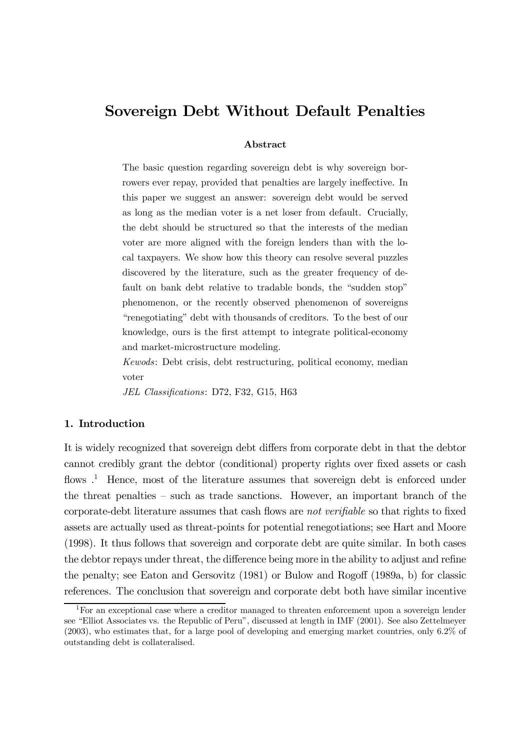# Sovereign Debt Without Default Penalties

#### Abstract

The basic question regarding sovereign debt is why sovereign borrowers ever repay, provided that penalties are largely ineffective. In this paper we suggest an answer: sovereign debt would be served as long as the median voter is a net loser from default. Crucially, the debt should be structured so that the interests of the median voter are more aligned with the foreign lenders than with the local taxpayers. We show how this theory can resolve several puzzles discovered by the literature, such as the greater frequency of default on bank debt relative to tradable bonds, the "sudden stop" phenomenon, or the recently observed phenomenon of sovereigns "renegotiating" debt with thousands of creditors. To the best of our knowledge, ours is the first attempt to integrate political-economy and market-microstructure modeling.

Kewods: Debt crisis, debt restructuring, political economy, median voter

JEL Classifications: D72, F32, G15, H63

# 1. Introduction

It is widely recognized that sovereign debt differs from corporate debt in that the debtor cannot credibly grant the debtor (conditional) property rights over fixed assets or cash flows  $\cdot$ <sup>1</sup>. Hence, most of the literature assumes that sovereign debt is enforced under the threat penalties — such as trade sanctions. However, an important branch of the corporate-debt literature assumes that cash flows are not verifiable so that rights to fixed assets are actually used as threat-points for potential renegotiations; see Hart and Moore (1998). It thus follows that sovereign and corporate debt are quite similar. In both cases the debtor repays under threat, the difference being more in the ability to adjust and refine the penalty; see Eaton and Gersovitz (1981) or Bulow and Rogoff (1989a, b) for classic references. The conclusion that sovereign and corporate debt both have similar incentive

<sup>&</sup>lt;sup>1</sup>For an exceptional case where a creditor managed to threaten enforcement upon a sovereign lender see "Elliot Associates vs. the Republic of Peru", discussed at length in IMF (2001). See also Zettelmeyer (2003), who estimates that, for a large pool of developing and emerging market countries, only 6.2% of outstanding debt is collateralised.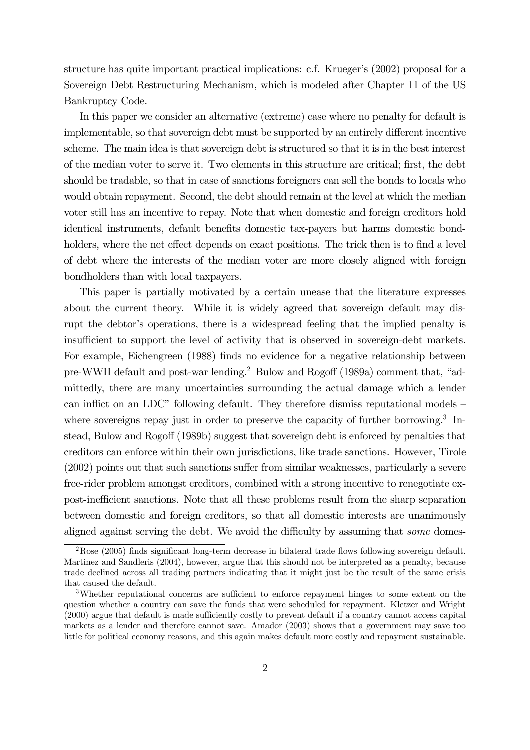structure has quite important practical implications: c.f. Krueger's (2002) proposal for a Sovereign Debt Restructuring Mechanism, which is modeled after Chapter 11 of the US Bankruptcy Code.

In this paper we consider an alternative (extreme) case where no penalty for default is implementable, so that sovereign debt must be supported by an entirely different incentive scheme. The main idea is that sovereign debt is structured so that it is in the best interest of the median voter to serve it. Two elements in this structure are critical; first, the debt should be tradable, so that in case of sanctions foreigners can sell the bonds to locals who would obtain repayment. Second, the debt should remain at the level at which the median voter still has an incentive to repay. Note that when domestic and foreign creditors hold identical instruments, default benefits domestic tax-payers but harms domestic bondholders, where the net effect depends on exact positions. The trick then is to find a level of debt where the interests of the median voter are more closely aligned with foreign bondholders than with local taxpayers.

This paper is partially motivated by a certain unease that the literature expresses about the current theory. While it is widely agreed that sovereign default may disrupt the debtor's operations, there is a widespread feeling that the implied penalty is insufficient to support the level of activity that is observed in sovereign-debt markets. For example, Eichengreen (1988) finds no evidence for a negative relationship between pre-WWII default and post-war lending.2 Bulow and Rogoff (1989a) comment that, "admittedly, there are many uncertainties surrounding the actual damage which a lender can inflict on an LDC" following default. They therefore dismiss reputational models where sovereigns repay just in order to preserve the capacity of further borrowing.<sup>3</sup> Instead, Bulow and Rogoff (1989b) suggest that sovereign debt is enforced by penalties that creditors can enforce within their own jurisdictions, like trade sanctions. However, Tirole (2002) points out that such sanctions suffer from similar weaknesses, particularly a severe free-rider problem amongst creditors, combined with a strong incentive to renegotiate expost-inefficient sanctions. Note that all these problems result from the sharp separation between domestic and foreign creditors, so that all domestic interests are unanimously aligned against serving the debt. We avoid the difficulty by assuming that some domes-

 $2\text{Rose}$  (2005) finds significant long-term decrease in bilateral trade flows following sovereign default. Martinez and Sandleris (2004), however, argue that this should not be interpreted as a penalty, because trade declined across all trading partners indicating that it might just be the result of the same crisis that caused the default.

<sup>3</sup>Whether reputational concerns are sufficient to enforce repayment hinges to some extent on the question whether a country can save the funds that were scheduled for repayment. Kletzer and Wright (2000) argue that default is made sufficiently costly to prevent default if a country cannot access capital markets as a lender and therefore cannot save. Amador (2003) shows that a government may save too little for political economy reasons, and this again makes default more costly and repayment sustainable.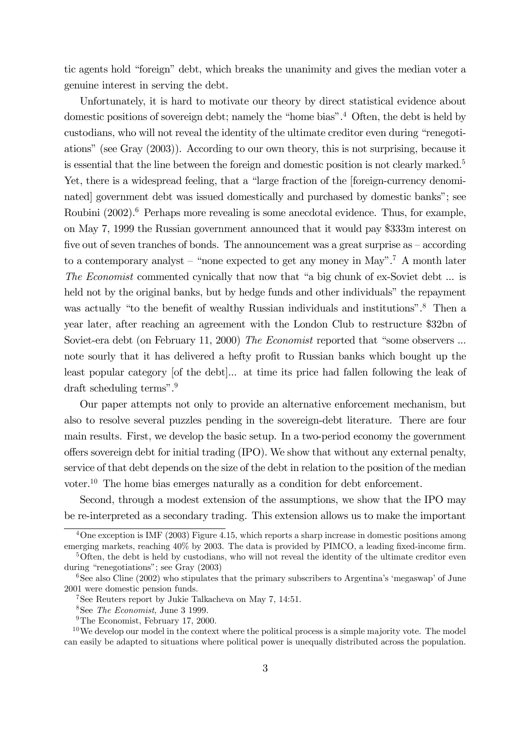tic agents hold "foreign" debt, which breaks the unanimity and gives the median voter a genuine interest in serving the debt.

Unfortunately, it is hard to motivate our theory by direct statistical evidence about domestic positions of sovereign debt; namely the "home bias".4 Often, the debt is held by custodians, who will not reveal the identity of the ultimate creditor even during "renegotiations" (see Gray (2003)). According to our own theory, this is not surprising, because it is essential that the line between the foreign and domestic position is not clearly marked.<sup>5</sup> Yet, there is a widespread feeling, that a "large fraction of the [foreign-currency denominated] government debt was issued domestically and purchased by domestic banks"; see Roubini (2002).<sup>6</sup> Perhaps more revealing is some anecdotal evidence. Thus, for example, on May 7, 1999 the Russian government announced that it would pay \$333m interest on five out of seven tranches of bonds. The announcement was a great surprise as — according to a contemporary analyst – "none expected to get any money in May".<sup>7</sup> A month later The Economist commented cynically that now that "a big chunk of ex-Soviet debt ... is held not by the original banks, but by hedge funds and other individuals" the repayment was actually "to the benefit of wealthy Russian individuals and institutions".<sup>8</sup> Then a year later, after reaching an agreement with the London Club to restructure \$32bn of Soviet-era debt (on February 11, 2000) The Economist reported that "some observers ... note sourly that it has delivered a hefty profit to Russian banks which bought up the least popular category [of the debt]... at time its price had fallen following the leak of draft scheduling terms".9

Our paper attempts not only to provide an alternative enforcement mechanism, but also to resolve several puzzles pending in the sovereign-debt literature. There are four main results. First, we develop the basic setup. In a two-period economy the government offers sovereign debt for initial trading (IPO). We show that without any external penalty, service of that debt depends on the size of the debt in relation to the position of the median voter.10 The home bias emerges naturally as a condition for debt enforcement.

Second, through a modest extension of the assumptions, we show that the IPO may be re-interpreted as a secondary trading. This extension allows us to make the important

 $4\text{One exception}$  is IMF (2003) Figure 4.15, which reports a sharp increase in domestic positions among emerging markets, reaching 40% by 2003. The data is provided by PIMCO, a leading fixed-income firm.

<sup>&</sup>lt;sup>5</sup>Often, the debt is held by custodians, who will not reveal the identity of the ultimate creditor even during "renegotiations"; see Gray (2003)

 $6$ See also Cline (2002) who stipulates that the primary subscribers to Argentina's 'megaswap' of June 2001 were domestic pension funds.

<sup>7</sup>See Reuters report by Jukie Talkacheva on May 7, 14:51.

<sup>8</sup>See The Economist, June 3 1999.

<sup>&</sup>lt;sup>9</sup>The Economist, February 17, 2000.

 $10$ We develop our model in the context where the political process is a simple majority vote. The model can easily be adapted to situations where political power is unequally distributed across the population.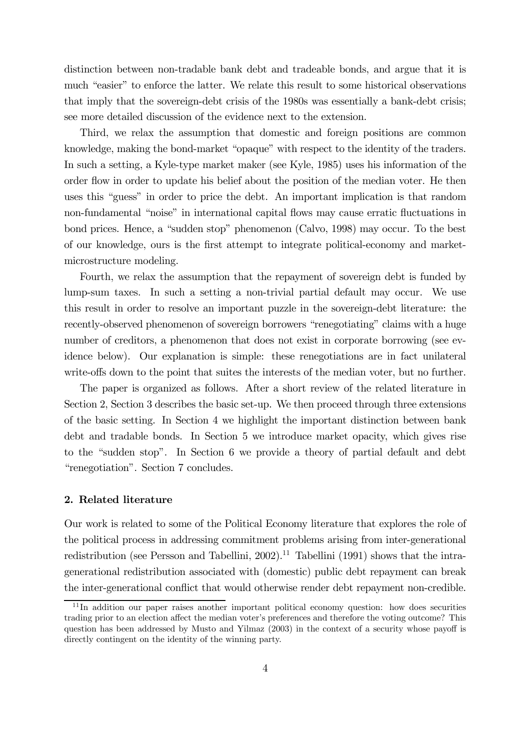distinction between non-tradable bank debt and tradeable bonds, and argue that it is much "easier" to enforce the latter. We relate this result to some historical observations that imply that the sovereign-debt crisis of the 1980s was essentially a bank-debt crisis; see more detailed discussion of the evidence next to the extension.

Third, we relax the assumption that domestic and foreign positions are common knowledge, making the bond-market "opaque" with respect to the identity of the traders. In such a setting, a Kyle-type market maker (see Kyle, 1985) uses his information of the order flow in order to update his belief about the position of the median voter. He then uses this "guess" in order to price the debt. An important implication is that random non-fundamental "noise" in international capital flows may cause erratic fluctuations in bond prices. Hence, a "sudden stop" phenomenon (Calvo, 1998) may occur. To the best of our knowledge, ours is the first attempt to integrate political-economy and marketmicrostructure modeling.

Fourth, we relax the assumption that the repayment of sovereign debt is funded by lump-sum taxes. In such a setting a non-trivial partial default may occur. We use this result in order to resolve an important puzzle in the sovereign-debt literature: the recently-observed phenomenon of sovereign borrowers "renegotiating" claims with a huge number of creditors, a phenomenon that does not exist in corporate borrowing (see evidence below). Our explanation is simple: these renegotiations are in fact unilateral write-offs down to the point that suites the interests of the median voter, but no further.

The paper is organized as follows. After a short review of the related literature in Section 2, Section 3 describes the basic set-up. We then proceed through three extensions of the basic setting. In Section 4 we highlight the important distinction between bank debt and tradable bonds. In Section 5 we introduce market opacity, which gives rise to the "sudden stop". In Section 6 we provide a theory of partial default and debt "renegotiation". Section 7 concludes.

#### 2. Related literature

Our work is related to some of the Political Economy literature that explores the role of the political process in addressing commitment problems arising from inter-generational redistribution (see Persson and Tabellini, 2002).<sup>11</sup> Tabellini (1991) shows that the intragenerational redistribution associated with (domestic) public debt repayment can break the inter-generational conflict that would otherwise render debt repayment non-credible.

<sup>&</sup>lt;sup>11</sup>In addition our paper raises another important political economy question: how does securities trading prior to an election affect the median voter's preferences and therefore the voting outcome? This question has been addressed by Musto and Yilmaz (2003) in the context of a security whose payoff is directly contingent on the identity of the winning party.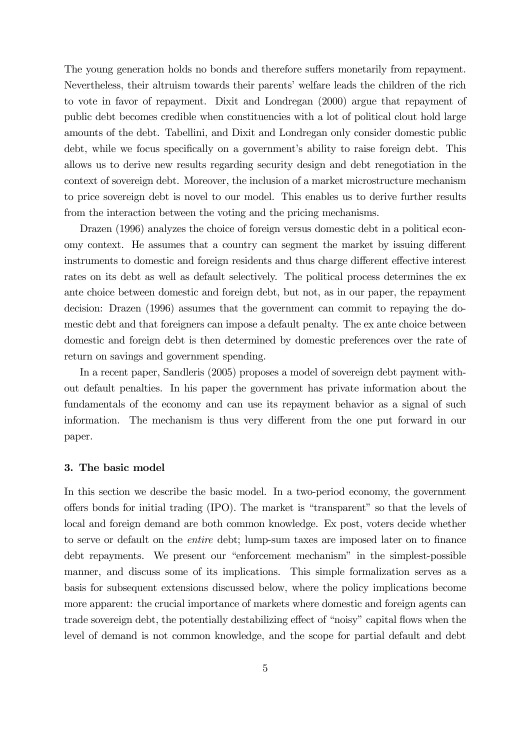The young generation holds no bonds and therefore suffers monetarily from repayment. Nevertheless, their altruism towards their parents' welfare leads the children of the rich to vote in favor of repayment. Dixit and Londregan (2000) argue that repayment of public debt becomes credible when constituencies with a lot of political clout hold large amounts of the debt. Tabellini, and Dixit and Londregan only consider domestic public debt, while we focus specifically on a government's ability to raise foreign debt. This allows us to derive new results regarding security design and debt renegotiation in the context of sovereign debt. Moreover, the inclusion of a market microstructure mechanism to price sovereign debt is novel to our model. This enables us to derive further results from the interaction between the voting and the pricing mechanisms.

Drazen (1996) analyzes the choice of foreign versus domestic debt in a political economy context. He assumes that a country can segment the market by issuing different instruments to domestic and foreign residents and thus charge different effective interest rates on its debt as well as default selectively. The political process determines the ex ante choice between domestic and foreign debt, but not, as in our paper, the repayment decision: Drazen (1996) assumes that the government can commit to repaying the domestic debt and that foreigners can impose a default penalty. The ex ante choice between domestic and foreign debt is then determined by domestic preferences over the rate of return on savings and government spending.

In a recent paper, Sandleris (2005) proposes a model of sovereign debt payment without default penalties. In his paper the government has private information about the fundamentals of the economy and can use its repayment behavior as a signal of such information. The mechanism is thus very different from the one put forward in our paper.

#### 3. The basic model

In this section we describe the basic model. In a two-period economy, the government offers bonds for initial trading (IPO). The market is "transparent" so that the levels of local and foreign demand are both common knowledge. Ex post, voters decide whether to serve or default on the entire debt; lump-sum taxes are imposed later on to finance debt repayments. We present our "enforcement mechanism" in the simplest-possible manner, and discuss some of its implications. This simple formalization serves as a basis for subsequent extensions discussed below, where the policy implications become more apparent: the crucial importance of markets where domestic and foreign agents can trade sovereign debt, the potentially destabilizing effect of "noisy" capital flows when the level of demand is not common knowledge, and the scope for partial default and debt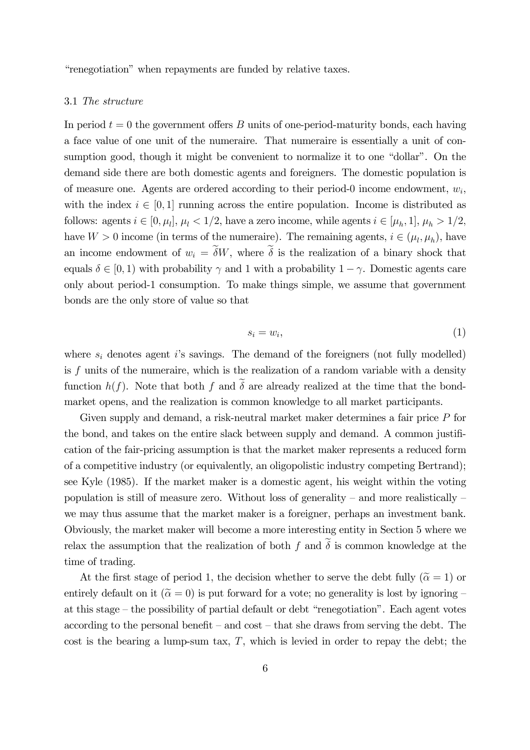"renegotiation" when repayments are funded by relative taxes.

#### 3.1 The structure

In period  $t = 0$  the government offers B units of one-period-maturity bonds, each having a face value of one unit of the numeraire. That numeraire is essentially a unit of consumption good, though it might be convenient to normalize it to one "dollar". On the demand side there are both domestic agents and foreigners. The domestic population is of measure one. Agents are ordered according to their period-0 income endowment,  $w_i$ , with the index  $i \in [0,1]$  running across the entire population. Income is distributed as follows: agents  $i \in [0, \mu_l]$ ,  $\mu_l < 1/2$ , have a zero income, while agents  $i \in [\mu_h, 1]$ ,  $\mu_h > 1/2$ , have  $W > 0$  income (in terms of the numeraire). The remaining agents,  $i \in (\mu_l, \mu_h)$ , have an income endowment of  $w_i = \widetilde{\delta}W$ , where  $\widetilde{\delta}$  is the realization of a binary shock that equals  $\delta \in [0, 1)$  with probability  $\gamma$  and 1 with a probability  $1 - \gamma$ . Domestic agents care only about period-1 consumption. To make things simple, we assume that government bonds are the only store of value so that

$$
s_i = w_i,\tag{1}
$$

where  $s_i$  denotes agent i's savings. The demand of the foreigners (not fully modelled) is  $f$  units of the numeraire, which is the realization of a random variable with a density function  $h(f)$ . Note that both f and  $\delta$  are already realized at the time that the bondmarket opens, and the realization is common knowledge to all market participants.

Given supply and demand, a risk-neutral market maker determines a fair price P for the bond, and takes on the entire slack between supply and demand. A common justification of the fair-pricing assumption is that the market maker represents a reduced form of a competitive industry (or equivalently, an oligopolistic industry competing Bertrand); see Kyle (1985). If the market maker is a domestic agent, his weight within the voting population is still of measure zero. Without loss of generality – and more realistically – we may thus assume that the market maker is a foreigner, perhaps an investment bank. Obviously, the market maker will become a more interesting entity in Section 5 where we relax the assumption that the realization of both f and  $\tilde{\delta}$  is common knowledge at the time of trading.

At the first stage of period 1, the decision whether to serve the debt fully ( $\tilde{\alpha} = 1$ ) or entirely default on it  $(\tilde{\alpha} = 0)$  is put forward for a vote; no generality is lost by ignoring – at this stage — the possibility of partial default or debt "renegotiation". Each agent votes according to the personal benefit – and  $\cos t$  – that she draws from serving the debt. The cost is the bearing a lump-sum tax,  $T$ , which is levied in order to repay the debt; the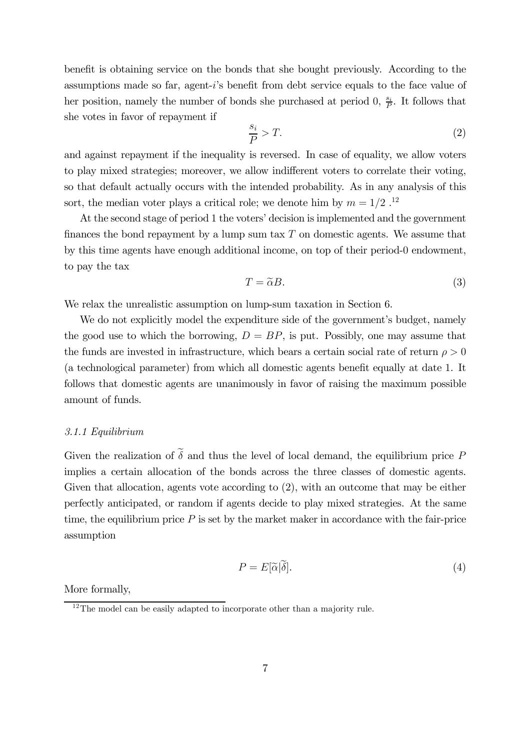benefit is obtaining service on the bonds that she bought previously. According to the assumptions made so far, agent-i's benefit from debt service equals to the face value of her position, namely the number of bonds she purchased at period 0,  $\frac{s_i}{P}$ . It follows that she votes in favor of repayment if

$$
\frac{s_i}{P} > T.
$$
 (2)

and against repayment if the inequality is reversed. In case of equality, we allow voters to play mixed strategies; moreover, we allow indifferent voters to correlate their voting, so that default actually occurs with the intended probability. As in any analysis of this sort, the median voter plays a critical role; we denote him by  $m = 1/2$ .<sup>12</sup>

At the second stage of period 1 the voters' decision is implemented and the government finances the bond repayment by a lump sum tax  $T$  on domestic agents. We assume that by this time agents have enough additional income, on top of their period-0 endowment, to pay the tax

$$
T = \tilde{\alpha}B. \tag{3}
$$

We relax the unrealistic assumption on lump-sum taxation in Section 6.

We do not explicitly model the expenditure side of the government's budget, namely the good use to which the borrowing,  $D = BP$ , is put. Possibly, one may assume that the funds are invested in infrastructure, which bears a certain social rate of return  $\rho > 0$ (a technological parameter) from which all domestic agents benefit equally at date 1. It follows that domestic agents are unanimously in favor of raising the maximum possible amount of funds.

#### 3.1.1 Equilibrium

Given the realization of  $\tilde{\delta}$  and thus the level of local demand, the equilibrium price P implies a certain allocation of the bonds across the three classes of domestic agents. Given that allocation, agents vote according to (2), with an outcome that may be either perfectly anticipated, or random if agents decide to play mixed strategies. At the same time, the equilibrium price  $P$  is set by the market maker in accordance with the fair-price assumption

$$
P = E[\widetilde{\alpha}|\widetilde{\delta}].\tag{4}
$$

More formally,

 $12$ The model can be easily adapted to incorporate other than a majority rule.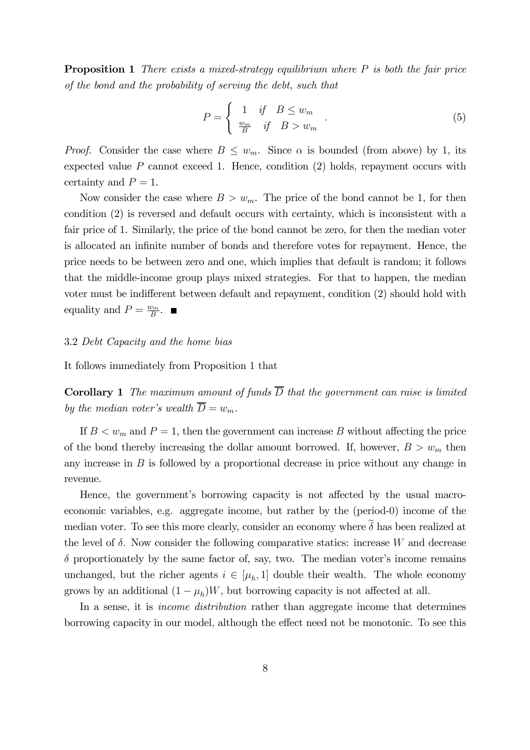**Proposition 1** There exists a mixed-strategy equilibrium where  $P$  is both the fair price of the bond and the probability of serving the debt, such that

$$
P = \begin{cases} 1 & \text{if } B \le w_m \\ \frac{w_m}{B} & \text{if } B > w_m \end{cases} . \tag{5}
$$

*Proof.* Consider the case where  $B \leq w_m$ . Since  $\alpha$  is bounded (from above) by 1, its expected value  $P$  cannot exceed 1. Hence, condition  $(2)$  holds, repayment occurs with certainty and  $P=1$ .

Now consider the case where  $B>w_m$ . The price of the bond cannot be 1, for then condition (2) is reversed and default occurs with certainty, which is inconsistent with a fair price of 1. Similarly, the price of the bond cannot be zero, for then the median voter is allocated an infinite number of bonds and therefore votes for repayment. Hence, the price needs to be between zero and one, which implies that default is random; it follows that the middle-income group plays mixed strategies. For that to happen, the median voter must be indifferent between default and repayment, condition (2) should hold with equality and  $P = \frac{w_m}{B}$ .

#### 3.2 Debt Capacity and the home bias

It follows immediately from Proposition 1 that

**Corollary 1** The maximum amount of funds  $\overline{D}$  that the government can raise is limited by the median voter's wealth  $\overline{D} = w_m$ .

If  $B < w_m$  and  $P = 1$ , then the government can increase B without affecting the price of the bond thereby increasing the dollar amount borrowed. If, however,  $B > w_m$  then any increase in  $B$  is followed by a proportional decrease in price without any change in revenue.

Hence, the government's borrowing capacity is not affected by the usual macroeconomic variables, e.g. aggregate income, but rather by the (period-0) income of the median voter. To see this more clearly, consider an economy where  $\tilde{\delta}$  has been realized at the level of  $\delta$ . Now consider the following comparative statics: increase W and decrease  $\delta$  proportionately by the same factor of, say, two. The median voter's income remains unchanged, but the richer agents  $i \in [\mu_h, 1]$  double their wealth. The whole economy grows by an additional  $(1 - \mu_h)W$ , but borrowing capacity is not affected at all.

In a sense, it is *income distribution* rather than aggregate income that determines borrowing capacity in our model, although the effect need not be monotonic. To see this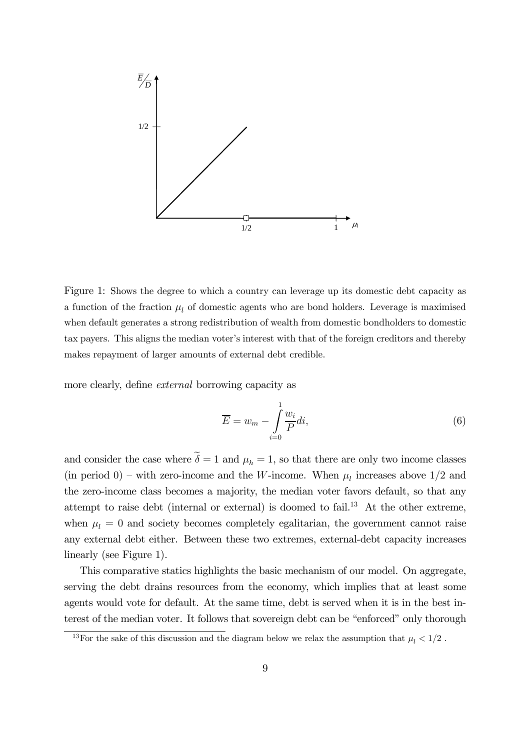

Figure 1: Shows the degree to which a country can leverage up its domestic debt capacity as a function of the fraction  $\mu_l$  of domestic agents who are bond holders. Leverage is maximised when default generates a strong redistribution of wealth from domestic bondholders to domestic tax payers. This aligns the median voter's interest with that of the foreign creditors and thereby makes repayment of larger amounts of external debt credible.

more clearly, define external borrowing capacity as

$$
\overline{E} = w_m - \int_{i=0}^{1} \frac{w_i}{P} di,
$$
\n(6)

and consider the case where  $\tilde{\delta} = 1$  and  $\mu_h = 1$ , so that there are only two income classes (in period 0) – with zero-income and the W-income. When  $\mu_l$  increases above 1/2 and the zero-income class becomes a majority, the median voter favors default, so that any attempt to raise debt (internal or external) is doomed to fail.13 At the other extreme, when  $\mu_l = 0$  and society becomes completely egalitarian, the government cannot raise any external debt either. Between these two extremes, external-debt capacity increases linearly (see Figure 1).

This comparative statics highlights the basic mechanism of our model. On aggregate, serving the debt drains resources from the economy, which implies that at least some agents would vote for default. At the same time, debt is served when it is in the best interest of the median voter. It follows that sovereign debt can be "enforced" only thorough

 $^{13}{\rm For}$  the sake of this discussion and the diagram below we relax the assumption that  $\mu_l < 1/2$  .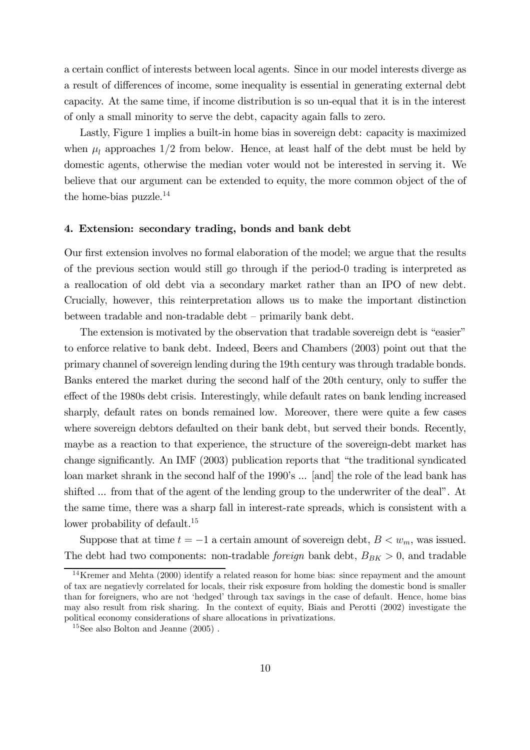a certain conflict of interests between local agents. Since in our model interests diverge as a result of differences of income, some inequality is essential in generating external debt capacity. At the same time, if income distribution is so un-equal that it is in the interest of only a small minority to serve the debt, capacity again falls to zero.

Lastly, Figure 1 implies a built-in home bias in sovereign debt: capacity is maximized when  $\mu_l$  approaches 1/2 from below. Hence, at least half of the debt must be held by domestic agents, otherwise the median voter would not be interested in serving it. We believe that our argument can be extended to equity, the more common object of the of the home-bias puzzle.14

#### 4. Extension: secondary trading, bonds and bank debt

Our first extension involves no formal elaboration of the model; we argue that the results of the previous section would still go through if the period-0 trading is interpreted as a reallocation of old debt via a secondary market rather than an IPO of new debt. Crucially, however, this reinterpretation allows us to make the important distinction between tradable and non-tradable debt — primarily bank debt.

The extension is motivated by the observation that tradable sovereign debt is "easier" to enforce relative to bank debt. Indeed, Beers and Chambers (2003) point out that the primary channel of sovereign lending during the 19th century was through tradable bonds. Banks entered the market during the second half of the 20th century, only to suffer the effect of the 1980s debt crisis. Interestingly, while default rates on bank lending increased sharply, default rates on bonds remained low. Moreover, there were quite a few cases where sovereign debtors defaulted on their bank debt, but served their bonds. Recently, maybe as a reaction to that experience, the structure of the sovereign-debt market has change significantly. An IMF (2003) publication reports that "the traditional syndicated loan market shrank in the second half of the 1990's ... [and] the role of the lead bank has shifted ... from that of the agent of the lending group to the underwriter of the deal". At the same time, there was a sharp fall in interest-rate spreads, which is consistent with a lower probability of default.<sup>15</sup>

Suppose that at time  $t = -1$  a certain amount of sovereign debt,  $B < w_m$ , was issued. The debt had two components: non-tradable *foreign* bank debt,  $B_{BK} > 0$ , and tradable

 $14$ Kremer and Mehta (2000) identify a related reason for home bias: since repayment and the amount of tax are negatievly correlated for locals, their risk exposure from holding the domestic bond is smaller than for foreigners, who are not 'hedged' through tax savings in the case of default. Hence, home bias may also result from risk sharing. In the context of equity, Biais and Perotti (2002) investigate the political economy considerations of share allocations in privatizations.

 ${}^{15}\mathrm{See}$  also Bolton and Jeanne (2005) .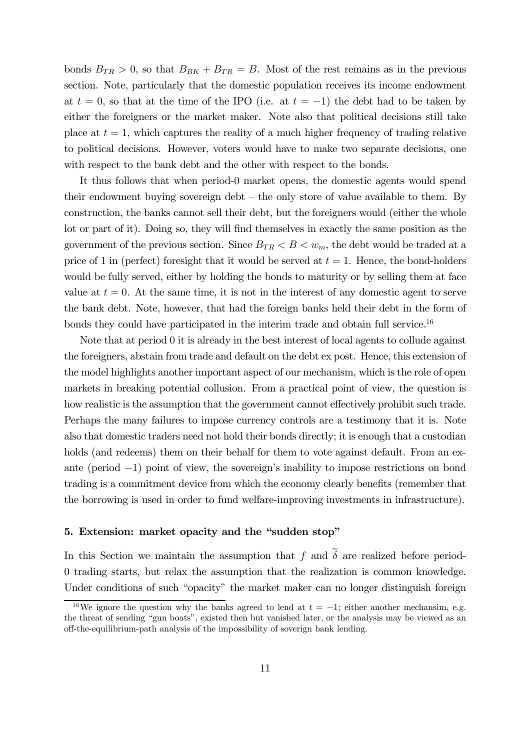bonds  $B_{TR} > 0$ , so that  $B_{BK} + B_{TR} = B$ . Most of the rest remains as in the previous section. Note, particularly that the domestic population receives its income endowment at  $t = 0$ , so that at the time of the IPO (i.e. at  $t = -1$ ) the debt had to be taken by either the foreigners or the market maker. Note also that political decisions still take place at  $t = 1$ , which captures the reality of a much higher frequency of trading relative to political decisions. However, voters would have to make two separate decisions, one with respect to the bank debt and the other with respect to the bonds.

It thus follows that when period-0 market opens, the domestic agents would spend their endowment buying sovereign debt  $-$  the only store of value available to them. By construction, the banks cannot sell their debt, but the foreigners would (either the whole lot or part of it). Doing so, they will find themselves in exactly the same position as the government of the previous section. Since  $B_{TR} < B < w_m$ , the debt would be traded at a price of 1 in (perfect) foresight that it would be served at  $t = 1$ . Hence, the bond-holders would be fully served, either by holding the bonds to maturity or by selling them at face value at  $t = 0$ . At the same time, it is not in the interest of any domestic agent to serve the bank debt. Note, however, that had the foreign banks held their debt in the form of bonds they could have participated in the interim trade and obtain full service.<sup>16</sup>

Note that at period 0 it is already in the best interest of local agents to collude against the foreigners, abstain from trade and default on the debt ex post. Hence, this extension of the model highlights another important aspect of our mechanism, which is the role of open markets in breaking potential collusion. From a practical point of view, the question is how realistic is the assumption that the government cannot effectively prohibit such trade. Perhaps the many failures to impose currency controls are a testimony that it is. Note also that domestic traders need not hold their bonds directly; it is enough that a custodian holds (and redeems) them on their behalf for them to vote against default. From an exante (period −1) point of view, the sovereign's inability to impose restrictions on bond trading is a commitment device from which the economy clearly benefits (remember that the borrowing is used in order to fund welfare-improving investments in infrastructure).

#### 5. Extension: market opacity and the "sudden stop"

In this Section we maintain the assumption that f and  $\tilde{\delta}$  are realized before period-0 trading starts, but relax the assumption that the realization is common knowledge. Under conditions of such "opacity" the market maker can no longer distinguish foreign

<sup>&</sup>lt;sup>16</sup>We ignore the question why the banks agreed to lend at  $t = -1$ ; either another mechansim, e.g. the threat of sending "gun boats", existed then but vanished later, or the analysis may be viewed as an off-the-equilibrium-path analysis of the impossibility of soverign bank lending.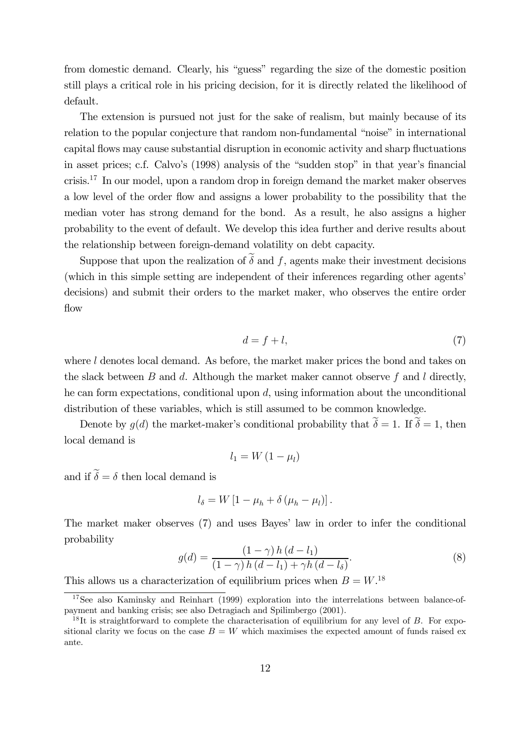from domestic demand. Clearly, his "guess" regarding the size of the domestic position still plays a critical role in his pricing decision, for it is directly related the likelihood of default.

The extension is pursued not just for the sake of realism, but mainly because of its relation to the popular conjecture that random non-fundamental "noise" in international capital flows may cause substantial disruption in economic activity and sharp fluctuations in asset prices; c.f. Calvo's (1998) analysis of the "sudden stop" in that year's financial crisis.17 In our model, upon a random drop in foreign demand the market maker observes a low level of the order flow and assigns a lower probability to the possibility that the median voter has strong demand for the bond. As a result, he also assigns a higher probability to the event of default. We develop this idea further and derive results about the relationship between foreign-demand volatility on debt capacity.

Suppose that upon the realization of  $\tilde{\delta}$  and f, agents make their investment decisions (which in this simple setting are independent of their inferences regarding other agents' decisions) and submit their orders to the market maker, who observes the entire order flow

$$
d = f + l,\tag{7}
$$

where l denotes local demand. As before, the market maker prices the bond and takes on the slack between  $B$  and  $d$ . Although the market maker cannot observe  $f$  and  $l$  directly, he can form expectations, conditional upon d, using information about the unconditional distribution of these variables, which is still assumed to be common knowledge.

Denote by  $g(d)$  the market-maker's conditional probability that  $\widetilde{\delta} = 1$ . If  $\widetilde{\delta} = 1$ , then local demand is

$$
l_1 = W\left(1 - \mu_l\right)
$$

and if  $\widetilde{\delta} = \delta$  then local demand is

$$
l_{\delta}=W\left[1-\mu_h+\delta\left(\mu_h-\mu_l\right)\right].
$$

The market maker observes (7) and uses Bayes' law in order to infer the conditional probability

$$
g(d) = \frac{\left(1 - \gamma\right)h\left(d - l_1\right)}{\left(1 - \gamma\right)h\left(d - l_1\right) + \gamma h\left(d - l_\delta\right)}.\tag{8}
$$

This allows us a characterization of equilibrium prices when  $B = W^{18}$ .

 $17$ See also Kaminsky and Reinhart (1999) exploration into the interrelations between balance-ofpayment and banking crisis; see also Detragiach and Spilimbergo (2001).

<sup>&</sup>lt;sup>18</sup>It is straightforward to complete the characterisation of equilibrium for any level of B. For expositional clarity we focus on the case  $B = W$  which maximises the expected amount of funds raised ex ante.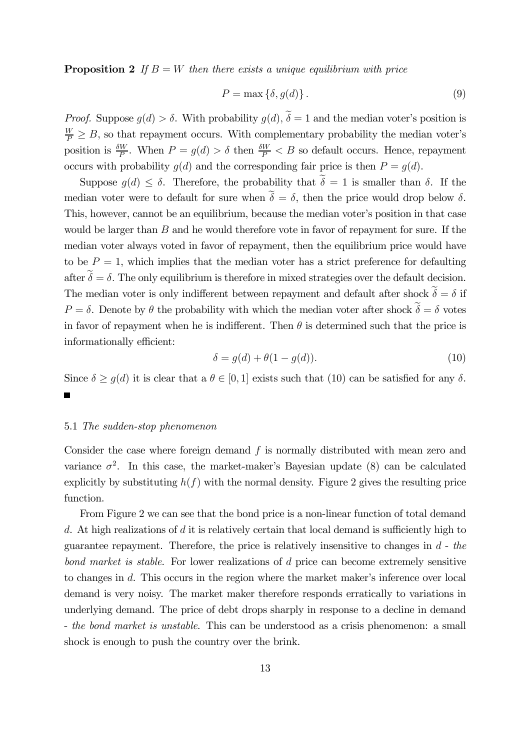**Proposition 2** If  $B = W$  then there exists a unique equilibrium with price

$$
P = \max\left\{\delta, g(d)\right\}.
$$
\n(9)

*Proof.* Suppose  $q(d) > \delta$ . With probability  $q(d)$ ,  $\tilde{\delta} = 1$  and the median voter's position is  $\frac{W}{P} \geq B$ , so that repayment occurs. With complementary probability the median voter's position is  $\frac{\delta W}{P}$ . When  $P = g(d) > \delta$  then  $\frac{\delta W}{P} < B$  so default occurs. Hence, repayment occurs with probability  $q(d)$  and the corresponding fair price is then  $P = q(d)$ .

Suppose  $q(d) \leq \delta$ . Therefore, the probability that  $\widetilde{\delta} = 1$  is smaller than  $\delta$ . If the median voter were to default for sure when  $\tilde{\delta} = \delta$ , then the price would drop below  $\delta$ . This, however, cannot be an equilibrium, because the median voter's position in that case would be larger than  $B$  and he would therefore vote in favor of repayment for sure. If the median voter always voted in favor of repayment, then the equilibrium price would have to be  $P = 1$ , which implies that the median voter has a strict preference for defaulting after  $\tilde{\delta} = \delta$ . The only equilibrium is therefore in mixed strategies over the default decision. The median voter is only indifferent between repayment and default after shock  $\tilde{\delta} = \delta$  if  $P = \delta$ . Denote by  $\theta$  the probability with which the median voter after shock  $\tilde{\delta} = \delta$  votes in favor of repayment when he is indifferent. Then  $\theta$  is determined such that the price is informationally efficient:

$$
\delta = g(d) + \theta(1 - g(d)).\tag{10}
$$

Since  $\delta \ge g(d)$  it is clear that  $a \theta \in [0, 1]$  exists such that (10) can be satisfied for any  $\delta$ .

#### 5.1 The sudden-stop phenomenon

Consider the case where foreign demand  $f$  is normally distributed with mean zero and variance  $\sigma^2$ . In this case, the market-maker's Bayesian update (8) can be calculated explicitly by substituting  $h(f)$  with the normal density. Figure 2 gives the resulting price function.

From Figure 2 we can see that the bond price is a non-linear function of total demand  $d$ . At high realizations of  $d$  it is relatively certain that local demand is sufficiently high to guarantee repayment. Therefore, the price is relatively insensitive to changes in  $d$  - the bond market is stable. For lower realizations of d price can become extremely sensitive to changes in d. This occurs in the region where the market maker's inference over local demand is very noisy. The market maker therefore responds erratically to variations in underlying demand. The price of debt drops sharply in response to a decline in demand - the bond market is unstable. This can be understood as a crisis phenomenon: a small shock is enough to push the country over the brink.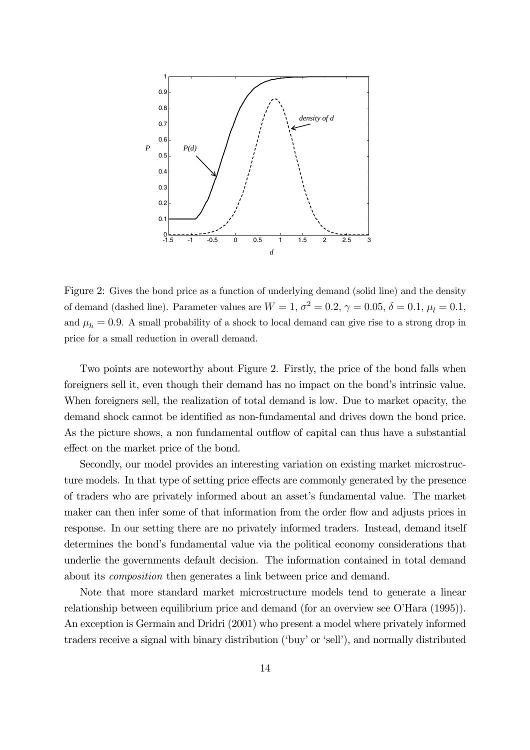

Figure 2: Gives the bond price as a function of underlying demand (solid line) and the density of demand (dashed line). Parameter values are  $W = 1$ ,  $\sigma^2 = 0.2$ ,  $\gamma = 0.05$ ,  $\delta = 0.1$ ,  $\mu_l = 0.1$ , and  $\mu_h = 0.9$ . A small probability of a shock to local demand can give rise to a strong drop in price for a small reduction in overall demand.

Two points are noteworthy about Figure 2. Firstly, the price of the bond falls when foreigners sell it, even though their demand has no impact on the bond's intrinsic value. When foreigners sell, the realization of total demand is low. Due to market opacity, the demand shock cannot be identified as non-fundamental and drives down the bond price. As the picture shows, a non fundamental outflow of capital can thus have a substantial effect on the market price of the bond.

Secondly, our model provides an interesting variation on existing market microstructure models. In that type of setting price effects are commonly generated by the presence of traders who are privately informed about an asset's fundamental value. The market maker can then infer some of that information from the order flow and adjusts prices in response. In our setting there are no privately informed traders. Instead, demand itself determines the bond's fundamental value via the political economy considerations that underlie the governments default decision. The information contained in total demand about its composition then generates a link between price and demand.

Note that more standard market microstructure models tend to generate a linear relationship between equilibrium price and demand (for an overview see O'Hara (1995)). An exception is Germain and Dridri (2001) who present a model where privately informed traders receive a signal with binary distribution ('buy' or 'sell'), and normally distributed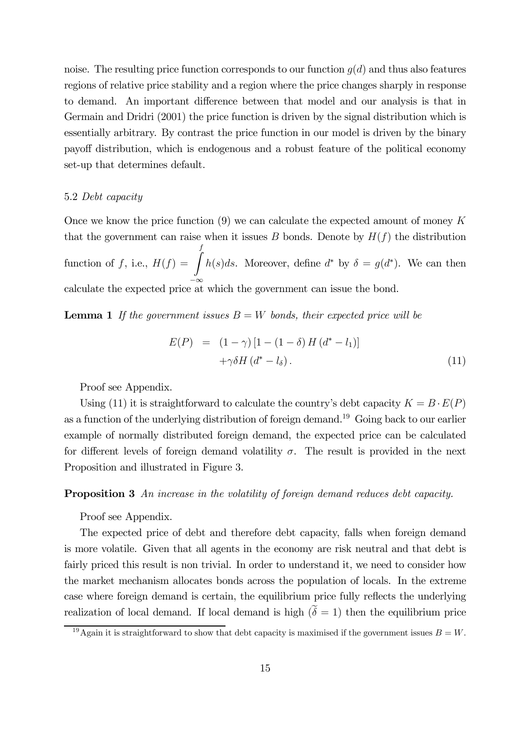noise. The resulting price function corresponds to our function  $q(d)$  and thus also features regions of relative price stability and a region where the price changes sharply in response to demand. An important difference between that model and our analysis is that in Germain and Dridri (2001) the price function is driven by the signal distribution which is essentially arbitrary. By contrast the price function in our model is driven by the binary payoff distribution, which is endogenous and a robust feature of the political economy set-up that determines default.

#### 5.2 Debt capacity

Once we know the price function  $(9)$  we can calculate the expected amount of money K that the government can raise when it issues B bonds. Denote by  $H(f)$  the distribution function of f, i.e.,  $H(f) = \int_0^f$ calculate the expected price at which the government can issue the bond.  $h(s)ds$ . Moreover, define  $d^*$  by  $\delta = g(d^*)$ . We can then

**Lemma 1** If the government issues  $B = W$  bonds, their expected price will be

$$
E(P) = (1 - \gamma) [1 - (1 - \delta) H (d^* - l_1)]
$$
  
+
$$
\gamma \delta H (d^* - l_\delta).
$$
 (11)

Proof see Appendix.

Using (11) it is straightforward to calculate the country's debt capacity  $K = B \cdot E(P)$ as a function of the underlying distribution of foreign demand.19 Going back to our earlier example of normally distributed foreign demand, the expected price can be calculated for different levels of foreign demand volatility  $\sigma$ . The result is provided in the next Proposition and illustrated in Figure 3.

## Proposition 3 An increase in the volatility of foreign demand reduces debt capacity.

Proof see Appendix.

The expected price of debt and therefore debt capacity, falls when foreign demand is more volatile. Given that all agents in the economy are risk neutral and that debt is fairly priced this result is non trivial. In order to understand it, we need to consider how the market mechanism allocates bonds across the population of locals. In the extreme case where foreign demand is certain, the equilibrium price fully reflects the underlying realization of local demand. If local demand is high  $(\tilde{\delta} = 1)$  then the equilibrium price

<sup>&</sup>lt;sup>19</sup>Again it is straightforward to show that debt capacity is maximised if the government issues  $B = W$ .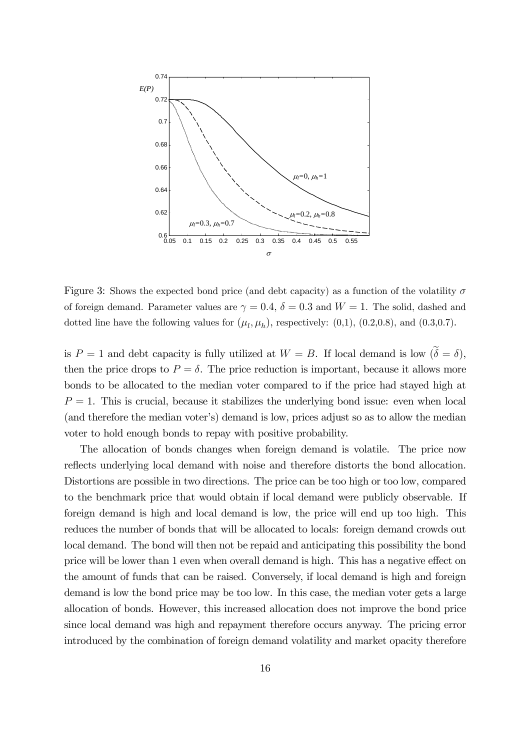

Figure 3: Shows the expected bond price (and debt capacity) as a function of the volatility  $\sigma$ of foreign demand. Parameter values are  $\gamma = 0.4$ ,  $\delta = 0.3$  and  $W = 1$ . The solid, dashed and dotted line have the following values for  $(\mu_l, \mu_h)$ , respectively: (0,1), (0.2,0.8), and (0.3,0.7).

is  $P = 1$  and debt capacity is fully utilized at  $W = B$ . If local demand is low  $(\tilde{\delta} = \delta)$ , then the price drops to  $P = \delta$ . The price reduction is important, because it allows more bonds to be allocated to the median voter compared to if the price had stayed high at  $P = 1$ . This is crucial, because it stabilizes the underlying bond issue: even when local (and therefore the median voter's) demand is low, prices adjust so as to allow the median voter to hold enough bonds to repay with positive probability.

The allocation of bonds changes when foreign demand is volatile. The price now reflects underlying local demand with noise and therefore distorts the bond allocation. Distortions are possible in two directions. The price can be too high or too low, compared to the benchmark price that would obtain if local demand were publicly observable. If foreign demand is high and local demand is low, the price will end up too high. This reduces the number of bonds that will be allocated to locals: foreign demand crowds out local demand. The bond will then not be repaid and anticipating this possibility the bond price will be lower than 1 even when overall demand is high. This has a negative effect on the amount of funds that can be raised. Conversely, if local demand is high and foreign demand is low the bond price may be too low. In this case, the median voter gets a large allocation of bonds. However, this increased allocation does not improve the bond price since local demand was high and repayment therefore occurs anyway. The pricing error introduced by the combination of foreign demand volatility and market opacity therefore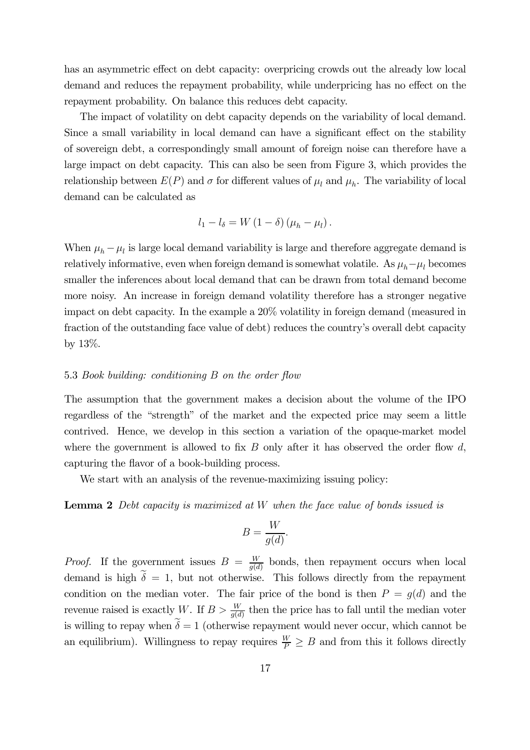has an asymmetric effect on debt capacity: overpricing crowds out the already low local demand and reduces the repayment probability, while underpricing has no effect on the repayment probability. On balance this reduces debt capacity.

The impact of volatility on debt capacity depends on the variability of local demand. Since a small variability in local demand can have a significant effect on the stability of sovereign debt, a correspondingly small amount of foreign noise can therefore have a large impact on debt capacity. This can also be seen from Figure 3, which provides the relationship between  $E(P)$  and  $\sigma$  for different values of  $\mu_l$  and  $\mu_h$ . The variability of local demand can be calculated as

$$
l_1 - l_\delta = W (1 - \delta) (\mu_h - \mu_l).
$$

When  $\mu_h - \mu_l$  is large local demand variability is large and therefore aggregate demand is relatively informative, even when foreign demand is somewhat volatile. As  $\mu_h - \mu_l$  becomes smaller the inferences about local demand that can be drawn from total demand become more noisy. An increase in foreign demand volatility therefore has a stronger negative impact on debt capacity. In the example a 20% volatility in foreign demand (measured in fraction of the outstanding face value of debt) reduces the country's overall debt capacity by 13%.

## 5.3 Book building: conditioning B on the order flow

The assumption that the government makes a decision about the volume of the IPO regardless of the "strength" of the market and the expected price may seem a little contrived. Hence, we develop in this section a variation of the opaque-market model where the government is allowed to fix  $B$  only after it has observed the order flow  $d$ , capturing the flavor of a book-building process.

We start with an analysis of the revenue-maximizing issuing policy:

Lemma 2 Debt capacity is maximized at W when the face value of bonds issued is

$$
B = \frac{W}{g(d)}.
$$

*Proof.* If the government issues  $B = \frac{W}{g(d)}$  bonds, then repayment occurs when local demand is high  $\tilde{\delta} = 1$ , but not otherwise. This follows directly from the repayment condition on the median voter. The fair price of the bond is then  $P = g(d)$  and the revenue raised is exactly W. If  $B > \frac{W}{g(d)}$  then the price has to fall until the median voter is willing to repay when  $\tilde{\delta} = 1$  (otherwise repayment would never occur, which cannot be an equilibrium). Willingness to repay requires  $\frac{W}{P} \geq B$  and from this it follows directly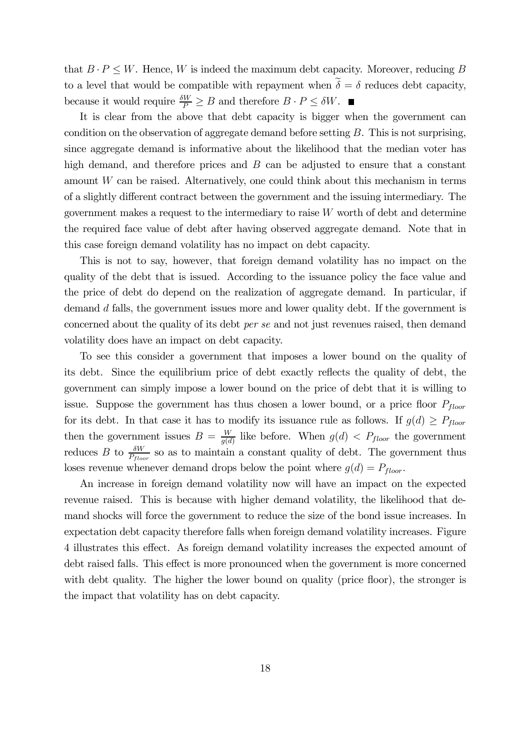that  $B \cdot P \leq W$ . Hence, W is indeed the maximum debt capacity. Moreover, reducing B to a level that would be compatible with repayment when  $\delta = \delta$  reduces debt capacity, because it would require  $\frac{\delta W}{P} \geq B$  and therefore  $B \cdot P \leq \delta W$ .

It is clear from the above that debt capacity is bigger when the government can condition on the observation of aggregate demand before setting B. This is not surprising, since aggregate demand is informative about the likelihood that the median voter has high demand, and therefore prices and  $B$  can be adjusted to ensure that a constant amount W can be raised. Alternatively, one could think about this mechanism in terms of a slightly different contract between the government and the issuing intermediary. The government makes a request to the intermediary to raise  $W$  worth of debt and determine the required face value of debt after having observed aggregate demand. Note that in this case foreign demand volatility has no impact on debt capacity.

This is not to say, however, that foreign demand volatility has no impact on the quality of the debt that is issued. According to the issuance policy the face value and the price of debt do depend on the realization of aggregate demand. In particular, if demand d falls, the government issues more and lower quality debt. If the government is concerned about the quality of its debt per se and not just revenues raised, then demand volatility does have an impact on debt capacity.

To see this consider a government that imposes a lower bound on the quality of its debt. Since the equilibrium price of debt exactly reflects the quality of debt, the government can simply impose a lower bound on the price of debt that it is willing to issue. Suppose the government has thus chosen a lower bound, or a price floor  $P_{floor}$ for its debt. In that case it has to modify its issuance rule as follows. If  $g(d) \geq P_{floor}$ then the government issues  $B = \frac{W}{g(d)}$  like before. When  $g(d) < P_{floor}$  the government reduces B to  $\frac{\delta W}{P_{floor}}$  so as to maintain a constant quality of debt. The government thus loses revenue whenever demand drops below the point where  $g(d) = P_{floor}$ .

An increase in foreign demand volatility now will have an impact on the expected revenue raised. This is because with higher demand volatility, the likelihood that demand shocks will force the government to reduce the size of the bond issue increases. In expectation debt capacity therefore falls when foreign demand volatility increases. Figure 4 illustrates this effect. As foreign demand volatility increases the expected amount of debt raised falls. This effect is more pronounced when the government is more concerned with debt quality. The higher the lower bound on quality (price floor), the stronger is the impact that volatility has on debt capacity.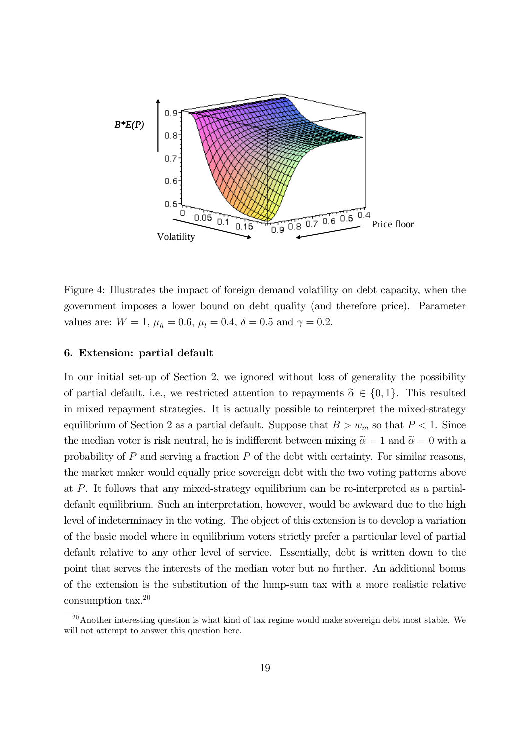

Figure 4: Illustrates the impact of foreign demand volatility on debt capacity, when the government imposes a lower bound on debt quality (and therefore price). Parameter values are:  $W = 1$ ,  $\mu_h = 0.6$ ,  $\mu_l = 0.4$ ,  $\delta = 0.5$  and  $\gamma = 0.2$ .

#### 6. Extension: partial default

In our initial set-up of Section 2, we ignored without loss of generality the possibility of partial default, i.e., we restricted attention to repayments  $\tilde{\alpha} \in \{0,1\}$ . This resulted in mixed repayment strategies. It is actually possible to reinterpret the mixed-strategy equilibrium of Section 2 as a partial default. Suppose that  $B>w_m$  so that  $P < 1$ . Since the median voter is risk neutral, he is indifferent between mixing  $\tilde{\alpha} = 1$  and  $\tilde{\alpha} = 0$  with a probability of  $P$  and serving a fraction  $P$  of the debt with certainty. For similar reasons, the market maker would equally price sovereign debt with the two voting patterns above at P. It follows that any mixed-strategy equilibrium can be re-interpreted as a partialdefault equilibrium. Such an interpretation, however, would be awkward due to the high level of indeterminacy in the voting. The object of this extension is to develop a variation of the basic model where in equilibrium voters strictly prefer a particular level of partial default relative to any other level of service. Essentially, debt is written down to the point that serves the interests of the median voter but no further. An additional bonus of the extension is the substitution of the lump-sum tax with a more realistic relative consumption tax.20

 $20A$ nother interesting question is what kind of tax regime would make sovereign debt most stable. We will not attempt to answer this question here.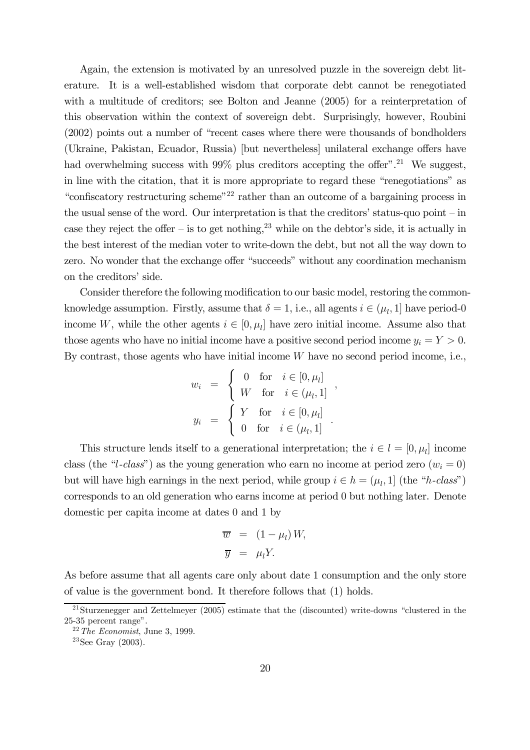Again, the extension is motivated by an unresolved puzzle in the sovereign debt literature. It is a well-established wisdom that corporate debt cannot be renegotiated with a multitude of creditors; see Bolton and Jeanne (2005) for a reinterpretation of this observation within the context of sovereign debt. Surprisingly, however, Roubini (2002) points out a number of "recent cases where there were thousands of bondholders (Ukraine, Pakistan, Ecuador, Russia) [but nevertheless] unilateral exchange offers have had overwhelming success with  $99\%$  plus creditors accepting the offer".<sup>21</sup> We suggest, in line with the citation, that it is more appropriate to regard these "renegotiations" as "confiscatory restructuring scheme"<sup>22</sup> rather than an outcome of a bargaining process in the usual sense of the word. Our interpretation is that the creditors' status-quo point — in case they reject the offer – is to get nothing,  $2<sup>3</sup>$  while on the debtor's side, it is actually in the best interest of the median voter to write-down the debt, but not all the way down to zero. No wonder that the exchange offer "succeeds" without any coordination mechanism on the creditors' side.

Consider therefore the following modification to our basic model, restoring the commonknowledge assumption. Firstly, assume that  $\delta = 1$ , i.e., all agents  $i \in (\mu_l, 1]$  have period-0 income W, while the other agents  $i \in [0, \mu_l]$  have zero initial income. Assume also that those agents who have no initial income have a positive second period income  $y_i = Y > 0$ . By contrast, those agents who have initial income  $W$  have no second period income, i.e.,

$$
w_{i} = \begin{cases} 0 & \text{for } i \in [0, \mu_{l}] \\ W & \text{for } i \in (\mu_{l}, 1] \\ y_{i} = \begin{cases} Y & \text{for } i \in [0, \mu_{l}] \\ 0 & \text{for } i \in (\mu_{l}, 1] \end{cases} .\end{cases}
$$

This structure lends itself to a generational interpretation; the  $i \in l = [0, \mu_l]$  income class (the "l-class") as the young generation who earn no income at period zero  $(w<sub>i</sub> = 0)$ but will have high earnings in the next period, while group  $i \in h = (\mu_l, 1]$  (the "h-class") corresponds to an old generation who earns income at period 0 but nothing later. Denote domestic per capita income at dates 0 and 1 by

$$
\overline{w} = (1 - \mu_l) W,
$$
  

$$
\overline{y} = \mu_l Y.
$$

As before assume that all agents care only about date 1 consumption and the only store of value is the government bond. It therefore follows that (1) holds.

<sup>21</sup>Sturzenegger and Zettelmeyer (2005) estimate that the (discounted) write-downs "clustered in the 25-35 percent range".

 $22$  The Economist, June 3, 1999.

 $23$ See Gray (2003).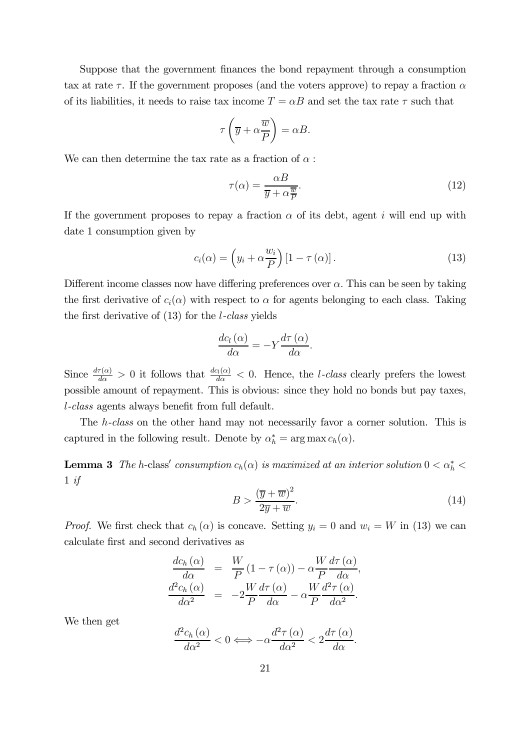Suppose that the government finances the bond repayment through a consumption tax at rate  $\tau$ . If the government proposes (and the voters approve) to repay a fraction  $\alpha$ of its liabilities, it needs to raise tax income  $T = \alpha B$  and set the tax rate  $\tau$  such that

$$
\tau\left(\overline{y} + \alpha \frac{\overline{w}}{P}\right) = \alpha B.
$$

We can then determine the tax rate as a fraction of  $\alpha$ :

$$
\tau(\alpha) = \frac{\alpha B}{\overline{y} + \alpha \frac{\overline{w}}{P}}.\tag{12}
$$

If the government proposes to repay a fraction  $\alpha$  of its debt, agent i will end up with date 1 consumption given by

$$
c_i(\alpha) = \left(y_i + \alpha \frac{w_i}{P}\right) \left[1 - \tau(\alpha)\right].
$$
\n(13)

Different income classes now have differing preferences over  $\alpha$ . This can be seen by taking the first derivative of  $c_i(\alpha)$  with respect to  $\alpha$  for agents belonging to each class. Taking the first derivative of  $(13)$  for the *l*-class yields

$$
\frac{dc_l(\alpha)}{d\alpha} = -Y \frac{d\tau(\alpha)}{d\alpha}.
$$

Since  $\frac{d\tau(\alpha)}{d\alpha} > 0$  it follows that  $\frac{dc_l(\alpha)}{d\alpha} < 0$ . Hence, the *l*-class clearly prefers the lowest possible amount of repayment. This is obvious: since they hold no bonds but pay taxes, l-class agents always benefit from full default.

The h-class on the other hand may not necessarily favor a corner solution. This is captured in the following result. Denote by  $\alpha_h^* = \arg \max c_h(\alpha)$ .

**Lemma 3** The h-class' consumption  $c_h(\alpha)$  is maximized at an interior solution  $0 < \alpha_h^* <$  $1 \text{ if}$ 

$$
B > \frac{(\overline{y} + \overline{w})^2}{2\overline{y} + \overline{w}}.\tag{14}
$$

*Proof.* We first check that  $c_h(\alpha)$  is concave. Setting  $y_i = 0$  and  $w_i = W$  in (13) we can calculate first and second derivatives as

$$
\frac{dc_h(\alpha)}{d\alpha} = \frac{W}{P}(1-\tau(\alpha)) - \alpha \frac{W}{P} \frac{d\tau(\alpha)}{d\alpha},
$$

$$
\frac{d^2c_h(\alpha)}{d\alpha^2} = -2\frac{W}{P} \frac{d\tau(\alpha)}{d\alpha} - \alpha \frac{W}{P} \frac{d^2\tau(\alpha)}{d\alpha^2}.
$$

We then get

$$
\frac{d^2c_h(\alpha)}{d\alpha^2} < 0 \iff -\alpha \frac{d^2\tau(\alpha)}{d\alpha^2} < 2\frac{d\tau(\alpha)}{d\alpha}.
$$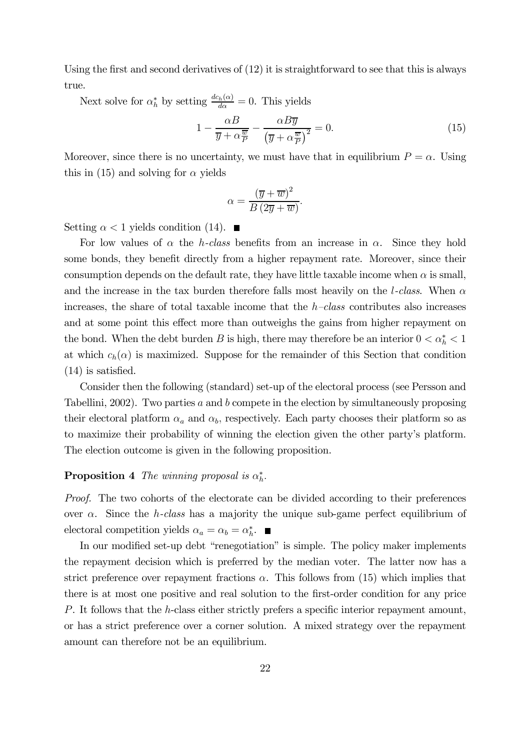Using the first and second derivatives of (12) it is straightforward to see that this is always true.

Next solve for  $\alpha_h^*$  by setting  $\frac{dc_h(\alpha)}{d\alpha} = 0$ . This yields

$$
1 - \frac{\alpha B}{\overline{y} + \alpha \frac{\overline{w}}{P}} - \frac{\alpha B \overline{y}}{\left(\overline{y} + \alpha \frac{\overline{w}}{P}\right)^2} = 0.
$$
\n(15)

Moreover, since there is no uncertainty, we must have that in equilibrium  $P = \alpha$ . Using this in (15) and solving for  $\alpha$  yields

$$
\alpha = \frac{(\overline{y} + \overline{w})^2}{B(2\overline{y} + \overline{w})}.
$$

Setting  $\alpha < 1$  yields condition (14).

For low values of  $\alpha$  the *h*-class benefits from an increase in  $\alpha$ . Since they hold some bonds, they benefit directly from a higher repayment rate. Moreover, since their consumption depends on the default rate, they have little taxable income when  $\alpha$  is small, and the increase in the tax burden therefore falls most heavily on the *l*-class. When  $\alpha$ increases, the share of total taxable income that the  $h$ -class contributes also increases and at some point this effect more than outweighs the gains from higher repayment on the bond. When the debt burden B is high, there may therefore be an interior  $0 < \alpha_h^* < 1$ at which  $c_h(\alpha)$  is maximized. Suppose for the remainder of this Section that condition (14) is satisfied.

Consider then the following (standard) set-up of the electoral process (see Persson and Tabellini, 2002). Two parties  $a$  and  $b$  compete in the election by simultaneously proposing their electoral platform  $\alpha_a$  and  $\alpha_b$ , respectively. Each party chooses their platform so as to maximize their probability of winning the election given the other party's platform. The election outcome is given in the following proposition.

# **Proposition 4** The winning proposal is  $\alpha_h^*$ .

Proof. The two cohorts of the electorate can be divided according to their preferences over  $\alpha$ . Since the *h*-class has a majority the unique sub-game perfect equilibrium of electoral competition yields  $\alpha_a = \alpha_b = \alpha_h^*$ .

In our modified set-up debt "renegotiation" is simple. The policy maker implements the repayment decision which is preferred by the median voter. The latter now has a strict preference over repayment fractions  $\alpha$ . This follows from (15) which implies that there is at most one positive and real solution to the first-order condition for any price P. It follows that the h-class either strictly prefers a specific interior repayment amount, or has a strict preference over a corner solution. A mixed strategy over the repayment amount can therefore not be an equilibrium.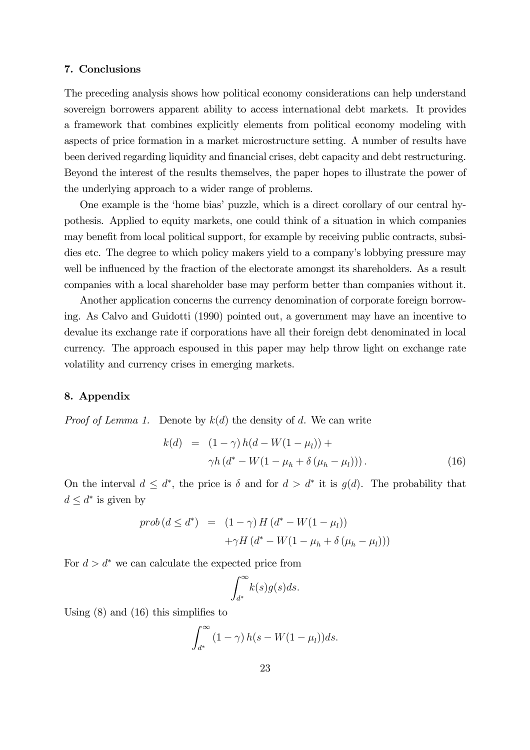#### 7. Conclusions

The preceding analysis shows how political economy considerations can help understand sovereign borrowers apparent ability to access international debt markets. It provides a framework that combines explicitly elements from political economy modeling with aspects of price formation in a market microstructure setting. A number of results have been derived regarding liquidity and financial crises, debt capacity and debt restructuring. Beyond the interest of the results themselves, the paper hopes to illustrate the power of the underlying approach to a wider range of problems.

One example is the 'home bias' puzzle, which is a direct corollary of our central hypothesis. Applied to equity markets, one could think of a situation in which companies may benefit from local political support, for example by receiving public contracts, subsidies etc. The degree to which policy makers yield to a company's lobbying pressure may well be influenced by the fraction of the electorate amongst its shareholders. As a result companies with a local shareholder base may perform better than companies without it.

Another application concerns the currency denomination of corporate foreign borrowing. As Calvo and Guidotti (1990) pointed out, a government may have an incentive to devalue its exchange rate if corporations have all their foreign debt denominated in local currency. The approach espoused in this paper may help throw light on exchange rate volatility and currency crises in emerging markets.

#### 8. Appendix

*Proof of Lemma 1.* Denote by  $k(d)$  the density of d. We can write

$$
k(d) = (1 - \gamma) h(d - W(1 - \mu_l)) +
$$
  
\n
$$
\gamma h(d^* - W(1 - \mu_h + \delta(\mu_h - \mu_l))).
$$
\n(16)

On the interval  $d \leq d^*$ , the price is  $\delta$  and for  $d > d^*$  it is  $q(d)$ . The probability that  $d \leq d^*$  is given by

$$
prob(d \leq d^*) = (1 - \gamma) H(d^* - W(1 - \mu_l))
$$

$$
+ \gamma H(d^* - W(1 - \mu_h + \delta(\mu_h - \mu_l)))
$$

For  $d > d^*$  we can calculate the expected price from

$$
\int_{d^*}^{\infty} k(s)g(s)ds.
$$

Using (8) and (16) this simplifies to

$$
\int_{d^*}^{\infty} (1 - \gamma) h(s - W(1 - \mu_l)) ds.
$$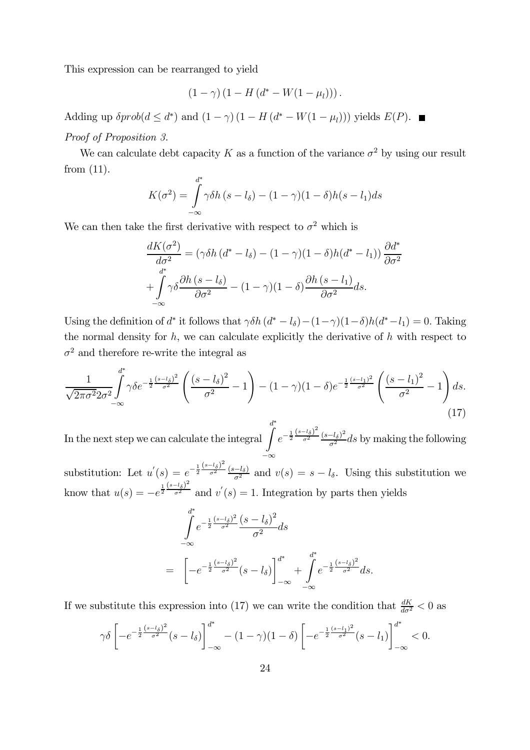This expression can be rearranged to yield

$$
(1 - \gamma) (1 - H (d^* - W(1 - \mu_l)))
$$

Adding up  $\delta prob(d \leq d^*)$  and  $(1 - \gamma) (1 - H(d^* - W(1 - \mu_l)))$  yields  $E(P)$ .

## Proof of Proposition 3.

We can calculate debt capacity K as a function of the variance  $\sigma^2$  by using our result from (11).

$$
K(\sigma^2) = \int_{-\infty}^{d^*} \gamma \delta h (s - l_\delta) - (1 - \gamma)(1 - \delta)h(s - l_1)ds
$$

We can then take the first derivative with respect to  $\sigma^2$  which is

$$
\frac{dK(\sigma^2)}{d\sigma^2} = (\gamma \delta h (d^* - l_\delta) - (1 - \gamma)(1 - \delta)h(d^* - l_1)) \frac{\partial d^*}{\partial \sigma^2} \n+ \int_{-\infty}^{d^*} \gamma \delta \frac{\partial h (s - l_\delta)}{\partial \sigma^2} - (1 - \gamma)(1 - \delta) \frac{\partial h (s - l_1)}{\partial \sigma^2} ds.
$$

Using the definition of d<sup>∗</sup> it follows that  $\gamma \delta h (d^* - l_\delta) - (1 - \gamma)(1 - \delta)h(d^* - l_1) = 0$ . Taking the normal density for  $h$ , we can calculate explicitly the derivative of  $h$  with respect to  $\sigma^2$  and therefore re-write the integral as

$$
\frac{1}{\sqrt{2\pi\sigma^2 2\sigma^2}} \int_{-\infty}^{d^*} \gamma \delta e^{-\frac{1}{2}\frac{(s-l_\delta)^2}{\sigma^2}} \left(\frac{(s-l_\delta)^2}{\sigma^2} - 1\right) - (1-\gamma)(1-\delta)e^{-\frac{1}{2}\frac{(s-l_1)^2}{\sigma^2}} \left(\frac{(s-l_1)^2}{\sigma^2} - 1\right) ds.
$$
\n(17)

In the next step we can calculate the integral  $\int$ <sup>\*</sup> −∞  $e^{-\frac{1}{2}\frac{(s-l_{\delta})^2}{\sigma^2}}$   $\frac{(s-l_{\delta})^2}{\sigma^2}$  ds by making the following

substitution: Let  $u'(s) = e^{-\frac{1}{2} \frac{(s-l_{\delta})^2}{\sigma^2}} \frac{(s-l_{\delta})}{\sigma^2}$  and  $v(s) = s - l_{\delta}$ . Using this substitution we know that  $u(s) = -e^{\frac{1}{2} \frac{(s-l_{\delta})^2}{\sigma^2}}$  $\overline{\sigma^2}$  and  $v'(s)=1$ . Integration by parts then yields

$$
\int_{-\infty}^{d^*} e^{-\frac{1}{2} \frac{(s - l_{\delta})^2}{\sigma^2}} \frac{(s - l_{\delta})^2}{\sigma^2} ds
$$
\n
$$
= \left[ -e^{-\frac{1}{2} \frac{(s - l_{\delta})^2}{\sigma^2}} (s - l_{\delta}) \right]_{-\infty}^{d^*} + \int_{-\infty}^{d^*} e^{-\frac{1}{2} \frac{(s - l_{\delta})^2}{\sigma^2}} ds.
$$

If we substitute this expression into (17) we can write the condition that  $\frac{dK}{d\sigma^2} < 0$  as

$$
\gamma \delta \left[ -e^{-\frac{1}{2} \frac{(s-l_{\delta})^2}{\sigma^2}} (s-l_{\delta}) \right]_{-\infty}^{d^*} - (1-\gamma)(1-\delta) \left[ -e^{-\frac{1}{2} \frac{(s-l_{1})^2}{\sigma^2}} (s-l_{1}) \right]_{-\infty}^{d^*} < 0.
$$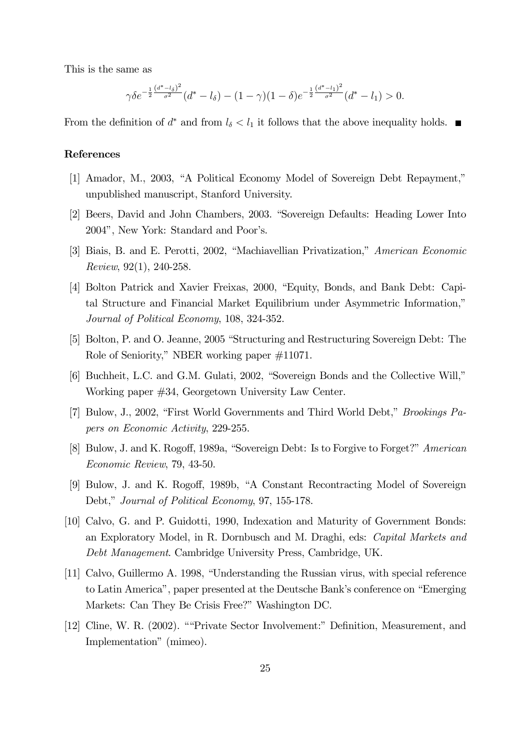This is the same as

$$
\gamma \delta e^{-\frac{1}{2}\frac{(d^*-l_\delta)^2}{\sigma^2}}(d^*-l_\delta) - (1-\gamma)(1-\delta)e^{-\frac{1}{2}\frac{(d^*-l_1)^2}{\sigma^2}}(d^*-l_1) > 0.
$$

From the definition of  $d^*$  and from  $l_{\delta} < l_1$  it follows that the above inequality holds.  $\blacksquare$ 

# References

- [1] Amador, M., 2003, "A Political Economy Model of Sovereign Debt Repayment," unpublished manuscript, Stanford University.
- [2] Beers, David and John Chambers, 2003. "Sovereign Defaults: Heading Lower Into 2004", New York: Standard and Poor's.
- [3] Biais, B. and E. Perotti, 2002, "Machiavellian Privatization," American Economic Review, 92(1), 240-258.
- [4] Bolton Patrick and Xavier Freixas, 2000, "Equity, Bonds, and Bank Debt: Capital Structure and Financial Market Equilibrium under Asymmetric Information," Journal of Political Economy, 108, 324-352.
- [5] Bolton, P. and O. Jeanne, 2005 "Structuring and Restructuring Sovereign Debt: The Role of Seniority," NBER working paper #11071.
- [6] Buchheit, L.C. and G.M. Gulati, 2002, "Sovereign Bonds and the Collective Will," Working paper #34, Georgetown University Law Center.
- [7] Bulow, J., 2002, "First World Governments and Third World Debt," Brookings Papers on Economic Activity, 229-255.
- [8] Bulow, J. and K. Rogoff, 1989a, "Sovereign Debt: Is to Forgive to Forget?" American Economic Review, 79, 43-50.
- [9] Bulow, J. and K. Rogoff, 1989b, "A Constant Recontracting Model of Sovereign Debt," Journal of Political Economy, 97, 155-178.
- [10] Calvo, G. and P. Guidotti, 1990, Indexation and Maturity of Government Bonds: an Exploratory Model, in R. Dornbusch and M. Draghi, eds: Capital Markets and Debt Management. Cambridge University Press, Cambridge, UK.
- [11] Calvo, Guillermo A. 1998, "Understanding the Russian virus, with special reference to Latin America", paper presented at the Deutsche Bank's conference on "Emerging Markets: Can They Be Crisis Free?" Washington DC.
- [12] Cline, W. R. (2002). ""Private Sector Involvement:" Definition, Measurement, and Implementation" (mimeo).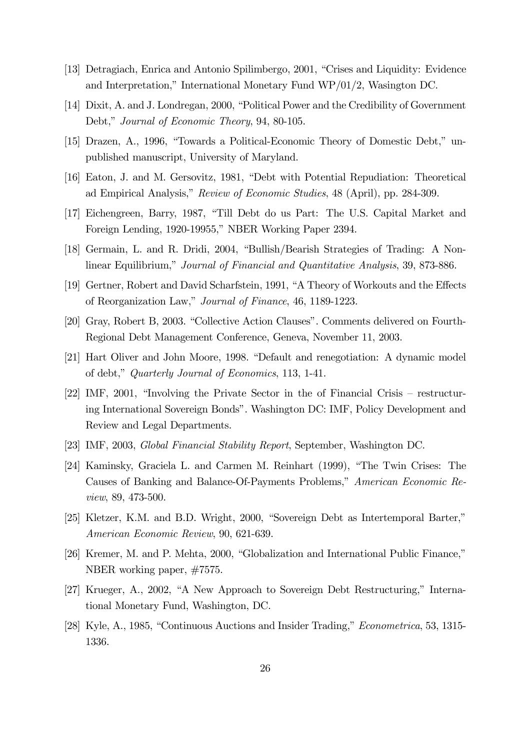- [13] Detragiach, Enrica and Antonio Spilimbergo, 2001, "Crises and Liquidity: Evidence and Interpretation," International Monetary Fund WP/01/2, Wasington DC.
- [14] Dixit, A. and J. Londregan, 2000, "Political Power and the Credibility of Government Debt," Journal of Economic Theory, 94, 80-105.
- [15] Drazen, A., 1996, "Towards a Political-Economic Theory of Domestic Debt," unpublished manuscript, University of Maryland.
- [16] Eaton, J. and M. Gersovitz, 1981, "Debt with Potential Repudiation: Theoretical ad Empirical Analysis," Review of Economic Studies, 48 (April), pp. 284-309.
- [17] Eichengreen, Barry, 1987, "Till Debt do us Part: The U.S. Capital Market and Foreign Lending, 1920-19955," NBER Working Paper 2394.
- [18] Germain, L. and R. Dridi, 2004, "Bullish/Bearish Strategies of Trading: A Nonlinear Equilibrium," Journal of Financial and Quantitative Analysis, 39, 873-886.
- [19] Gertner, Robert and David Scharfstein, 1991, "A Theory of Workouts and the Effects of Reorganization Law," Journal of Finance, 46, 1189-1223.
- [20] Gray, Robert B, 2003. "Collective Action Clauses". Comments delivered on Fourth-Regional Debt Management Conference, Geneva, November 11, 2003.
- [21] Hart Oliver and John Moore, 1998. "Default and renegotiation: A dynamic model of debt," Quarterly Journal of Economics, 113, 1-41.
- [22] IMF, 2001, "Involving the Private Sector in the of Financial Crisis restructuring International Sovereign Bonds". Washington DC: IMF, Policy Development and Review and Legal Departments.
- [23] IMF, 2003, Global Financial Stability Report, September, Washington DC.
- [24] Kaminsky, Graciela L. and Carmen M. Reinhart (1999), "The Twin Crises: The Causes of Banking and Balance-Of-Payments Problems," American Economic Review, 89, 473-500.
- [25] Kletzer, K.M. and B.D. Wright, 2000, "Sovereign Debt as Intertemporal Barter," American Economic Review, 90, 621-639.
- [26] Kremer, M. and P. Mehta, 2000, "Globalization and International Public Finance," NBER working paper, #7575.
- [27] Krueger, A., 2002, "A New Approach to Sovereign Debt Restructuring," International Monetary Fund, Washington, DC.
- [28] Kyle, A., 1985, "Continuous Auctions and Insider Trading," Econometrica, 53, 1315- 1336.